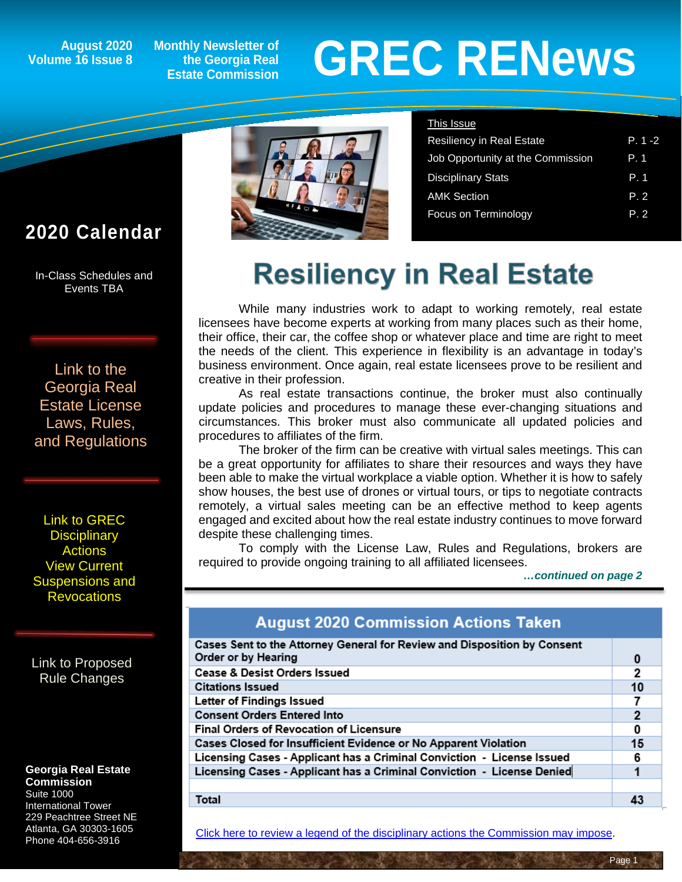#### **August 2020 Volume 16 Issue 8**

**Monthly Newsletter of the Georgia Real Estate Commission**

# **GREC RENewsGREC RENews**

Resiliency in Real Estate P. 1 -2 Job Opportunity at the Commission P. 1 Disciplinary Stats **P. 1** AMK Section P. 2 Focus on Terminology **P. 2** 

This Issue

#### **2020 Calendar**

ĺ

In-Class Schedules and Events TBA

[Link to the](https://grec.state.ga.us/information-research/license-law/)  [Georgia Real](https://grec.state.ga.us/information-research/license-law/)  [Estate License](https://grec.state.ga.us/information-research/license-law/)  [Laws, Rules,](https://grec.state.ga.us/information-research/license-law/)  [and Regulations](https://grec.state.ga.us/information-research/license-law/)

[Link to GREC](http://www.grec.state.ga.us/about/resanctions.html)  **Disciplinary [Actions](http://www.grec.state.ga.us/about/resanctions.html)** View Current [Suspensions and](https://grec.state.ga.us/information-research/disciplinary-actions/real-estate/)  **Revocations** 

[Link to Proposed](https://grec.state.ga.us/information-research/disciplinary-actions/real-estate/)  [Rule Changes](https://grec.state.ga.us/information-research/legislation/real-estate/)

#### **Georgia Real Estate Commission**

Suite 1000 International Tower 229 Peachtree Street NE Atlanta, GA 30303-1605 Phone 404-656-3916



### **Resiliency in Real Estate**

While many industries work to adapt to working remotely, real estate licensees have become experts at working from many places such as their home, their office, their car, the coffee shop or whatever place and time are right to meet the needs of the client. This experience in flexibility is an advantage in today's business environment. Once again, real estate licensees prove to be resilient and creative in their profession.

As real estate transactions continue, the broker must also continually update policies and procedures to manage these ever-changing situations and circumstances. This broker must also communicate all updated policies and procedures to affiliates of the firm.

The broker of the firm can be creative with virtual sales meetings. This can be a great opportunity for affiliates to share their resources and ways they have been able to make the virtual workplace a viable option. Whether it is how to safely show houses, the best use of drones or virtual tours, or tips to negotiate contracts remotely, a virtual sales meeting can be an effective method to keep agents engaged and excited about how the real estate industry continues to move forward despite these challenging times.

To comply with the License Law, Rules and Regulations, brokers are required to provide ongoing training to all affiliated licensees.

 *…continued on page 2*

#### **August 2020 Commission Actions Taken**

| Cases Sent to the Attorney General for Review and Disposition by Consent |    |
|--------------------------------------------------------------------------|----|
| Order or by Hearing                                                      | 0  |
| Cease & Desist Orders Issued                                             | 2  |
| <b>Citations Issued</b>                                                  | 10 |
| Letter of Findings Issued                                                |    |
| <b>Consent Orders Entered Into</b>                                       | 2  |
| <b>Final Orders of Revocation of Licensure</b>                           | 0  |
| Cases Closed for Insufficient Evidence or No Apparent Violation          | 15 |
| Licensing Cases - Applicant has a Criminal Conviction - License Issued   | 6  |
| Licensing Cases - Applicant has a Criminal Conviction - License Denied   |    |
|                                                                          |    |
| Total                                                                    |    |

[Click here to review a legend of the disciplinary actions the Commission may impose.](https://www.jmre.com/grec/GRECDisciplinaryTools.pdf)